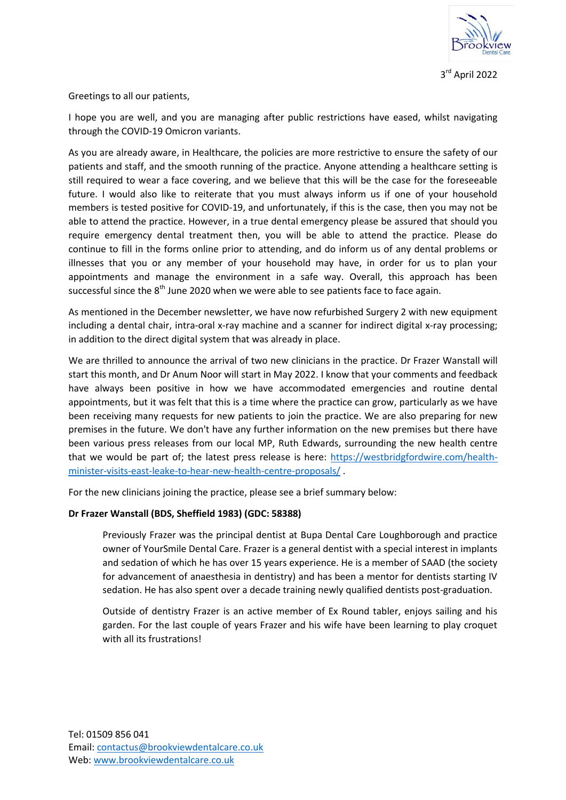

Greetings to all our patients,

I hope you are well, and you are managing after public restrictions have eased, whilst navigating through the COVID-19 Omicron variants.

As you are already aware, in Healthcare, the policies are more restrictive to ensure the safety of our patients and staff, and the smooth running of the practice. Anyone attending a healthcare setting is still required to wear a face covering, and we believe that this will be the case for the foreseeable future. I would also like to reiterate that you must always inform us if one of your household members is tested positive for COVID-19, and unfortunately, if this is the case, then you may not be able to attend the practice. However, in a true dental emergency please be assured that should you require emergency dental treatment then, you will be able to attend the practice. Please do continue to fill in the forms online prior to attending, and do inform us of any dental problems or illnesses that you or any member of your household may have, in order for us to plan your appointments and manage the environment in a safe way. Overall, this approach has been successful since the  $8<sup>th</sup>$  June 2020 when we were able to see patients face to face again.

As mentioned in the December newsletter, we have now refurbished Surgery 2 with new equipment including a dental chair, intra-oral x-ray machine and a scanner for indirect digital x-ray processing; in addition to the direct digital system that was already in place.

We are thrilled to announce the arrival of two new clinicians in the practice. Dr Frazer Wanstall will start this month, and Dr Anum Noor will start in May 2022. I know that your comments and feedback have always been positive in how we have accommodated emergencies and routine dental appointments, but it was felt that this is a time where the practice can grow, particularly as we have been receiving many requests for new patients to join the practice. We are also preparing for new premises in the future. We don't have any further information on the new premises but there have been various press releases from our local MP, Ruth Edwards, surrounding the new health centre that we would be part of; the latest press release is here: [https://westbridgfordwire.com/health](https://westbridgfordwire.com/health-minister-visits-east-leake-to-hear-new-health-centre-proposals/)[minister-visits-east-leake-to-hear-new-health-centre-proposals/](https://westbridgfordwire.com/health-minister-visits-east-leake-to-hear-new-health-centre-proposals/) .

For the new clinicians joining the practice, please see a brief summary below:

## **Dr Frazer Wanstall (BDS, Sheffield 1983) (GDC: 58388)**

Previously Frazer was the principal dentist at Bupa Dental Care Loughborough and practice owner of YourSmile Dental Care. Frazer is a general dentist with a special interest in implants and sedation of which he has over 15 years experience. He is a member of SAAD (the society for advancement of anaesthesia in dentistry) and has been a mentor for dentists starting IV sedation. He has also spent over a decade training newly qualified dentists post-graduation.

Outside of dentistry Frazer is an active member of Ex Round tabler, enjoys sailing and his garden. For the last couple of years Frazer and his wife have been learning to play croquet with all its frustrations!